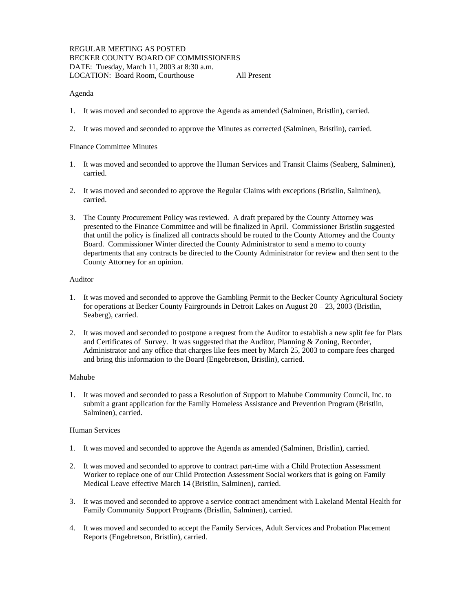# Agenda

- 1. It was moved and seconded to approve the Agenda as amended (Salminen, Bristlin), carried.
- 2. It was moved and seconded to approve the Minutes as corrected (Salminen, Bristlin), carried.

## Finance Committee Minutes

- 1. It was moved and seconded to approve the Human Services and Transit Claims (Seaberg, Salminen), carried.
- 2. It was moved and seconded to approve the Regular Claims with exceptions (Bristlin, Salminen), carried.
- 3. The County Procurement Policy was reviewed. A draft prepared by the County Attorney was presented to the Finance Committee and will be finalized in April. Commissioner Bristlin suggested that until the policy is finalized all contracts should be routed to the County Attorney and the County Board. Commissioner Winter directed the County Administrator to send a memo to county departments that any contracts be directed to the County Administrator for review and then sent to the County Attorney for an opinion.

## Auditor

- 1. It was moved and seconded to approve the Gambling Permit to the Becker County Agricultural Society for operations at Becker County Fairgrounds in Detroit Lakes on August  $20 - 23$ , 2003 (Bristlin, Seaberg), carried.
- 2. It was moved and seconded to postpone a request from the Auditor to establish a new split fee for Plats and Certificates of Survey. It was suggested that the Auditor, Planning & Zoning, Recorder, Administrator and any office that charges like fees meet by March 25, 2003 to compare fees charged and bring this information to the Board (Engebretson, Bristlin), carried.

### Mahube

1. It was moved and seconded to pass a Resolution of Support to Mahube Community Council, Inc. to submit a grant application for the Family Homeless Assistance and Prevention Program (Bristlin, Salminen), carried.

### Human Services

- 1. It was moved and seconded to approve the Agenda as amended (Salminen, Bristlin), carried.
- 2. It was moved and seconded to approve to contract part-time with a Child Protection Assessment Worker to replace one of our Child Protection Assessment Social workers that is going on Family Medical Leave effective March 14 (Bristlin, Salminen), carried.
- 3. It was moved and seconded to approve a service contract amendment with Lakeland Mental Health for Family Community Support Programs (Bristlin, Salminen), carried.
- 4. It was moved and seconded to accept the Family Services, Adult Services and Probation Placement Reports (Engebretson, Bristlin), carried.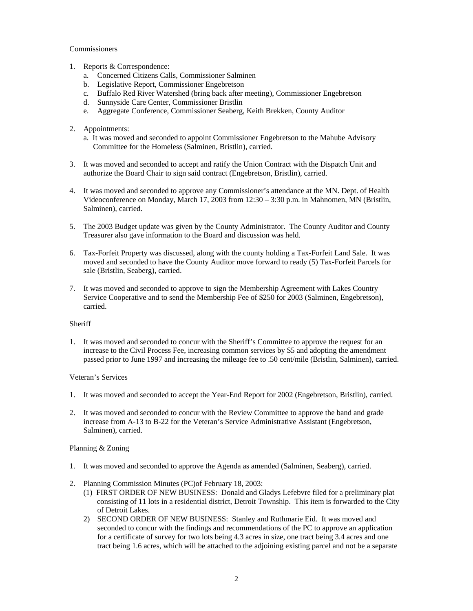## Commissioners

- 1. Reports & Correspondence:
	- a. Concerned Citizens Calls, Commissioner Salminen
	- b. Legislative Report, Commissioner Engebretson
	- c. Buffalo Red River Watershed (bring back after meeting), Commissioner Engebretson
	- d. Sunnyside Care Center, Commissioner Bristlin
	- e. Aggregate Conference, Commissioner Seaberg, Keith Brekken, County Auditor
- 2. Appointments:
	- a. It was moved and seconded to appoint Commissioner Engebretson to the Mahube Advisory Committee for the Homeless (Salminen, Bristlin), carried.
- 3. It was moved and seconded to accept and ratify the Union Contract with the Dispatch Unit and authorize the Board Chair to sign said contract (Engebretson, Bristlin), carried.
- 4. It was moved and seconded to approve any Commissioner's attendance at the MN. Dept. of Health Videoconference on Monday, March 17, 2003 from 12:30 – 3:30 p.m. in Mahnomen, MN (Bristlin, Salminen), carried.
- 5. The 2003 Budget update was given by the County Administrator. The County Auditor and County Treasurer also gave information to the Board and discussion was held.
- 6. Tax-Forfeit Property was discussed, along with the county holding a Tax-Forfeit Land Sale. It was moved and seconded to have the County Auditor move forward to ready (5) Tax-Forfeit Parcels for sale (Bristlin, Seaberg), carried.
- 7. It was moved and seconded to approve to sign the Membership Agreement with Lakes Country Service Cooperative and to send the Membership Fee of \$250 for 2003 (Salminen, Engebretson), carried.

### **Sheriff**

1. It was moved and seconded to concur with the Sheriff's Committee to approve the request for an increase to the Civil Process Fee, increasing common services by \$5 and adopting the amendment passed prior to June 1997 and increasing the mileage fee to .50 cent/mile (Bristlin, Salminen), carried.

## Veteran's Services

- 1. It was moved and seconded to accept the Year-End Report for 2002 (Engebretson, Bristlin), carried.
- 2. It was moved and seconded to concur with the Review Committee to approve the band and grade increase from A-13 to B-22 for the Veteran's Service Administrative Assistant (Engebretson, Salminen), carried.

### Planning & Zoning

- 1. It was moved and seconded to approve the Agenda as amended (Salminen, Seaberg), carried.
- 2. Planning Commission Minutes (PC)of February 18, 2003:
	- (1) FIRST ORDER OF NEW BUSINESS: Donald and Gladys Lefebvre filed for a preliminary plat consisting of 11 lots in a residential district, Detroit Township. This item is forwarded to the City of Detroit Lakes.
	- 2) SECOND ORDER OF NEW BUSINESS: Stanley and Ruthmarie Eid. It was moved and seconded to concur with the findings and recommendations of the PC to approve an application for a certificate of survey for two lots being 4.3 acres in size, one tract being 3.4 acres and one tract being 1.6 acres, which will be attached to the adjoining existing parcel and not be a separate